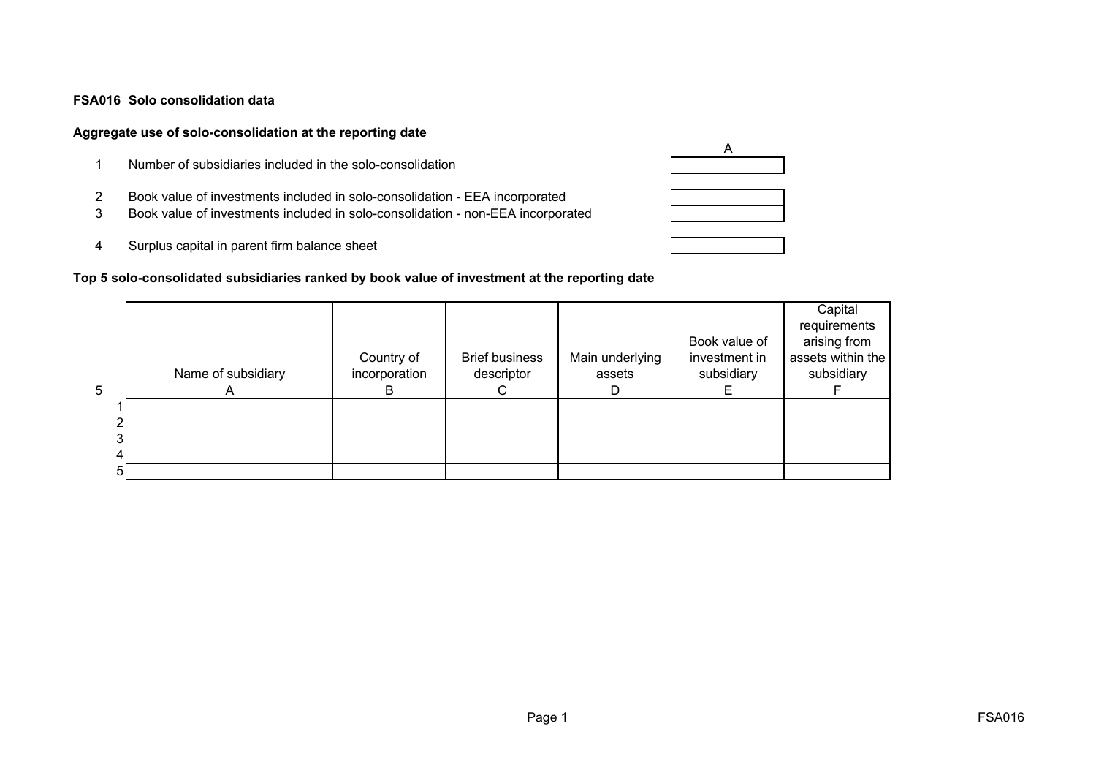#### **FSA016 Solo consolidation data**

### **Aggregate use of solo-consolidation at the reporting date**

- 1 Number of subsidiaries included in the solo-consolidation
- 2 Book value of investments included in solo-consolidation EEA incorporated
- 3 Book value of investments included in solo-consolidation non-EEA incorporated
- 4 Surplus capital in parent firm balance sheet

## **Top 5 solo-consolidated subsidiaries ranked by book value of investment at the reporting date**

|   |                    |                             |                                     |                           | Book value of               | Capital<br>requirements<br>arising from |
|---|--------------------|-----------------------------|-------------------------------------|---------------------------|-----------------------------|-----------------------------------------|
|   | Name of subsidiary | Country of<br>incorporation | <b>Brief business</b><br>descriptor | Main underlying<br>assets | investment in<br>subsidiary | assets within the<br>subsidiary         |
| 5 |                    |                             |                                     |                           |                             |                                         |
|   |                    |                             |                                     |                           |                             |                                         |
|   |                    |                             |                                     |                           |                             |                                         |
|   |                    |                             |                                     |                           |                             |                                         |
|   |                    |                             |                                     |                           |                             |                                         |
|   |                    |                             |                                     |                           |                             |                                         |